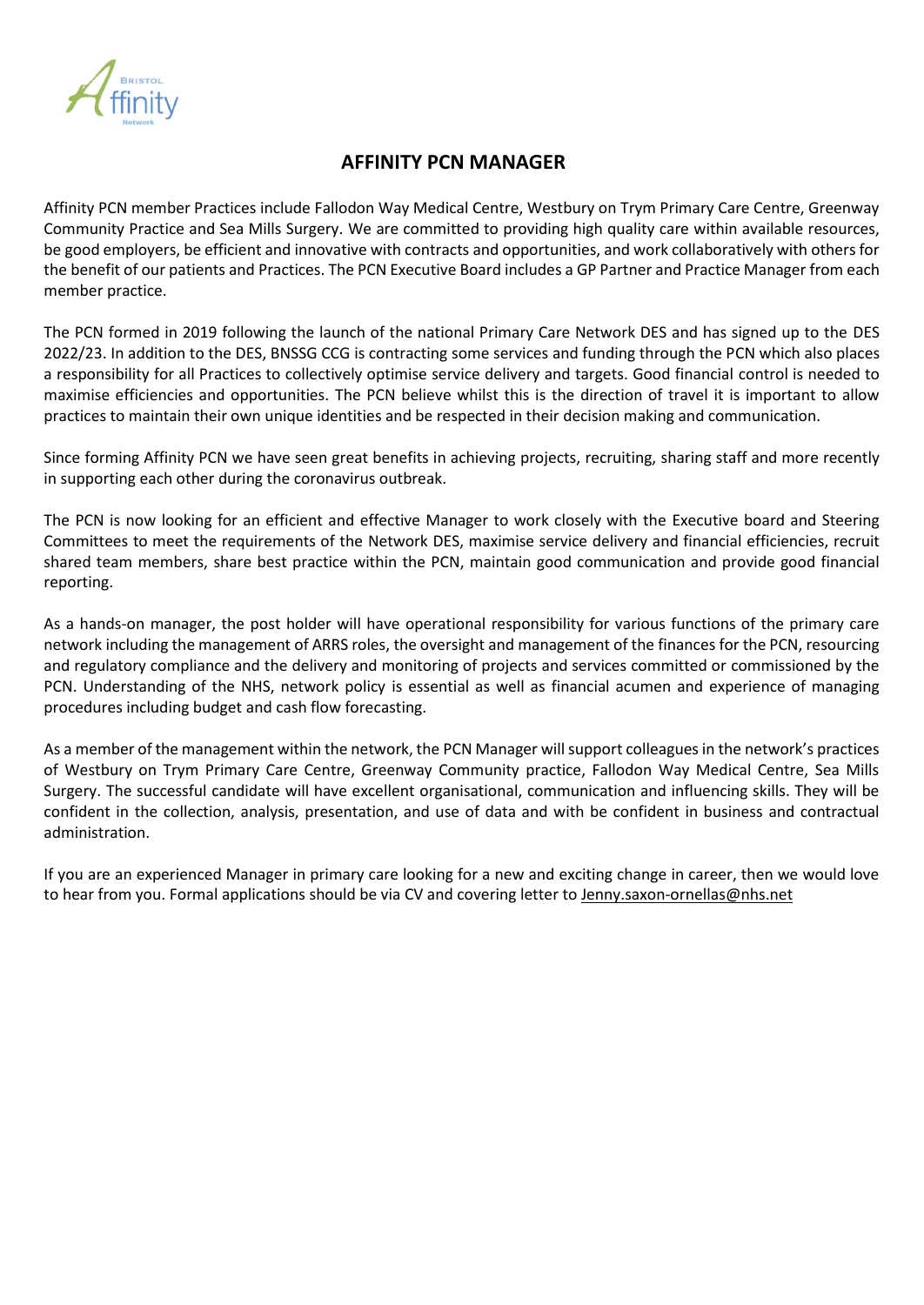

## **AFFINITY PCN MANAGER**

Affinity PCN member Practices include Fallodon Way Medical Centre, Westbury on Trym Primary Care Centre, Greenway Community Practice and Sea Mills Surgery. We are committed to providing high quality care within available resources, be good employers, be efficient and innovative with contracts and opportunities, and work collaboratively with others for the benefit of our patients and Practices. The PCN Executive Board includes a GP Partner and Practice Manager from each member practice.

The PCN formed in 2019 following the launch of the national Primary Care Network DES and has signed up to the DES 2022/23. In addition to the DES, BNSSG CCG is contracting some services and funding through the PCN which also places a responsibility for all Practices to collectively optimise service delivery and targets. Good financial control is needed to maximise efficiencies and opportunities. The PCN believe whilst this is the direction of travel it is important to allow practices to maintain their own unique identities and be respected in their decision making and communication.

Since forming Affinity PCN we have seen great benefits in achieving projects, recruiting, sharing staff and more recently in supporting each other during the coronavirus outbreak.

The PCN is now looking for an efficient and effective Manager to work closely with the Executive board and Steering Committees to meet the requirements of the Network DES, maximise service delivery and financial efficiencies, recruit shared team members, share best practice within the PCN, maintain good communication and provide good financial reporting.

As a hands-on manager, the post holder will have operational responsibility for various functions of the primary care network including the management of ARRS roles, the oversight and management of the finances for the PCN, resourcing and regulatory compliance and the delivery and monitoring of projects and services committed or commissioned by the PCN. Understanding of the NHS, network policy is essential as well as financial acumen and experience of managing procedures including budget and cash flow forecasting.

As a member of the management within the network, the PCN Manager will support colleagues in the network's practices of Westbury on Trym Primary Care Centre, Greenway Community practice, Fallodon Way Medical Centre, Sea Mills Surgery. The successful candidate will have excellent organisational, communication and influencing skills. They will be confident in the collection, analysis, presentation, and use of data and with be confident in business and contractual administration.

If you are an experienced Manager in primary care looking for a new and exciting change in career, then we would love to hear from you. Formal applications should be via CV and covering letter to Jenny.saxon-ornellas@nhs.net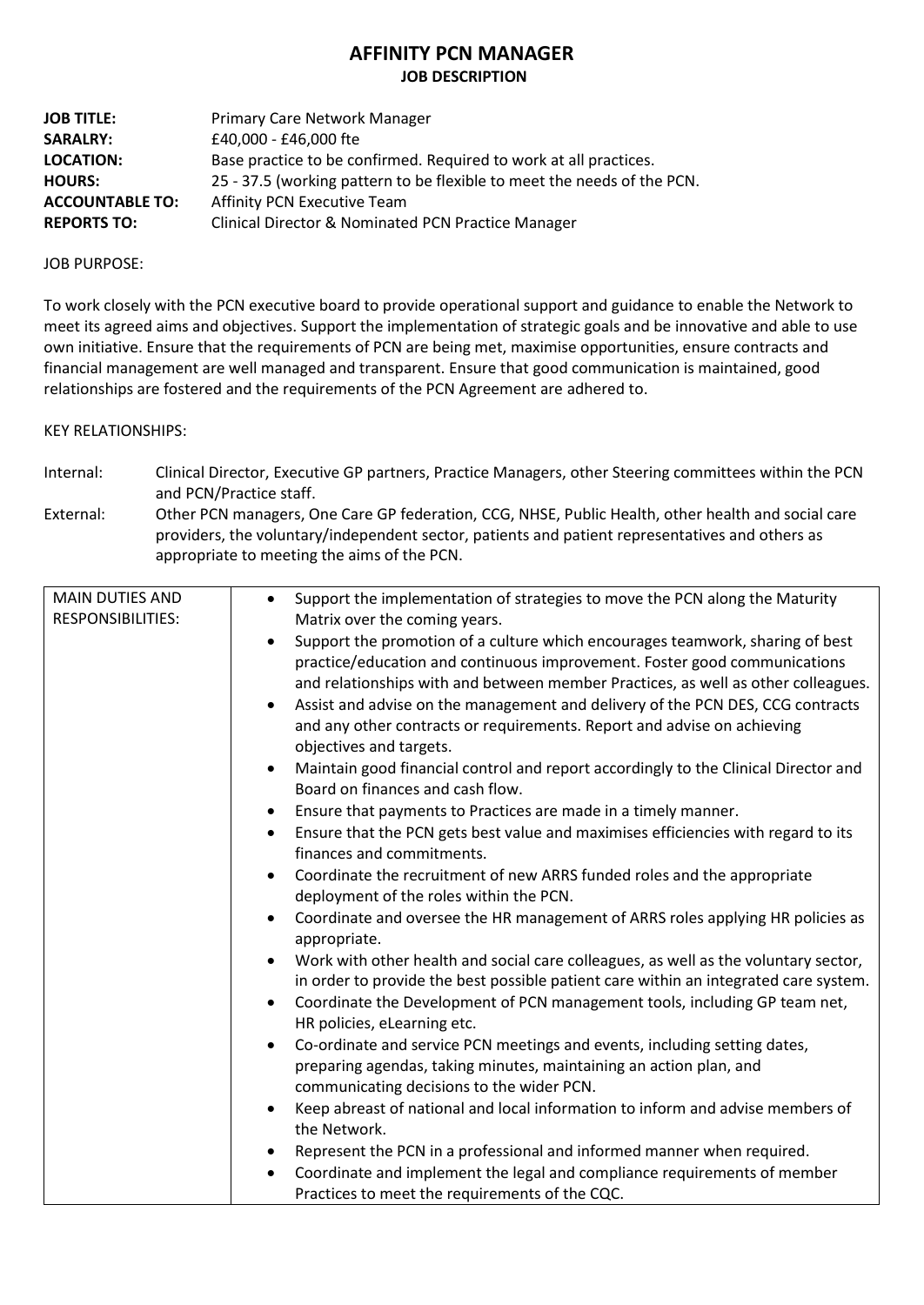### **AFFINITY PCN MANAGER JOB DESCRIPTION**

| <b>JOB TITLE:</b>      | Primary Care Network Manager                                            |
|------------------------|-------------------------------------------------------------------------|
| <b>SARALRY:</b>        | £40,000 - £46,000 fte                                                   |
| <b>LOCATION:</b>       | Base practice to be confirmed. Required to work at all practices.       |
| <b>HOURS:</b>          | 25 - 37.5 (working pattern to be flexible to meet the needs of the PCN. |
| <b>ACCOUNTABLE TO:</b> | Affinity PCN Executive Team                                             |
| <b>REPORTS TO:</b>     | Clinical Director & Nominated PCN Practice Manager                      |

#### JOB PURPOSE:

To work closely with the PCN executive board to provide operational support and guidance to enable the Network to meet its agreed aims and objectives. Support the implementation of strategic goals and be innovative and able to use own initiative. Ensure that the requirements of PCN are being met, maximise opportunities, ensure contracts and financial management are well managed and transparent. Ensure that good communication is maintained, good relationships are fostered and the requirements of the PCN Agreement are adhered to.

#### KEY RELATIONSHIPS:

- Internal: Clinical Director, Executive GP partners, Practice Managers, other Steering committees within the PCN and PCN/Practice staff.
- External: Other PCN managers, One Care GP federation, CCG, NHSE, Public Health, other health and social care providers, the voluntary/independent sector, patients and patient representatives and others as appropriate to meeting the aims of the PCN.

| <b>MAIN DUTIES AND</b><br>RESPONSIBILITIES: | Support the implementation of strategies to move the PCN along the Maturity<br>$\bullet$<br>Matrix over the coming years.<br>Support the promotion of a culture which encourages teamwork, sharing of best<br>practice/education and continuous improvement. Foster good communications<br>and relationships with and between member Practices, as well as other colleagues.<br>Assist and advise on the management and delivery of the PCN DES, CCG contracts<br>$\bullet$<br>and any other contracts or requirements. Report and advise on achieving<br>objectives and targets.<br>Maintain good financial control and report accordingly to the Clinical Director and<br>$\bullet$<br>Board on finances and cash flow.<br>Ensure that payments to Practices are made in a timely manner.<br>٠<br>Ensure that the PCN gets best value and maximises efficiencies with regard to its<br>finances and commitments.<br>Coordinate the recruitment of new ARRS funded roles and the appropriate<br>deployment of the roles within the PCN.<br>Coordinate and oversee the HR management of ARRS roles applying HR policies as<br>appropriate.<br>Work with other health and social care colleagues, as well as the voluntary sector,<br>in order to provide the best possible patient care within an integrated care system.<br>Coordinate the Development of PCN management tools, including GP team net,<br>$\bullet$<br>HR policies, eLearning etc.<br>Co-ordinate and service PCN meetings and events, including setting dates,<br>$\bullet$<br>preparing agendas, taking minutes, maintaining an action plan, and<br>communicating decisions to the wider PCN.<br>Keep abreast of national and local information to inform and advise members of<br>the Network. |
|---------------------------------------------|--------------------------------------------------------------------------------------------------------------------------------------------------------------------------------------------------------------------------------------------------------------------------------------------------------------------------------------------------------------------------------------------------------------------------------------------------------------------------------------------------------------------------------------------------------------------------------------------------------------------------------------------------------------------------------------------------------------------------------------------------------------------------------------------------------------------------------------------------------------------------------------------------------------------------------------------------------------------------------------------------------------------------------------------------------------------------------------------------------------------------------------------------------------------------------------------------------------------------------------------------------------------------------------------------------------------------------------------------------------------------------------------------------------------------------------------------------------------------------------------------------------------------------------------------------------------------------------------------------------------------------------------------------------------------------------------------------------------------------------------------------------------|
|                                             |                                                                                                                                                                                                                                                                                                                                                                                                                                                                                                                                                                                                                                                                                                                                                                                                                                                                                                                                                                                                                                                                                                                                                                                                                                                                                                                                                                                                                                                                                                                                                                                                                                                                                                                                                                    |
|                                             |                                                                                                                                                                                                                                                                                                                                                                                                                                                                                                                                                                                                                                                                                                                                                                                                                                                                                                                                                                                                                                                                                                                                                                                                                                                                                                                                                                                                                                                                                                                                                                                                                                                                                                                                                                    |
|                                             | Represent the PCN in a professional and informed manner when required.                                                                                                                                                                                                                                                                                                                                                                                                                                                                                                                                                                                                                                                                                                                                                                                                                                                                                                                                                                                                                                                                                                                                                                                                                                                                                                                                                                                                                                                                                                                                                                                                                                                                                             |
|                                             | Coordinate and implement the legal and compliance requirements of member<br>$\bullet$<br>Practices to meet the requirements of the CQC.                                                                                                                                                                                                                                                                                                                                                                                                                                                                                                                                                                                                                                                                                                                                                                                                                                                                                                                                                                                                                                                                                                                                                                                                                                                                                                                                                                                                                                                                                                                                                                                                                            |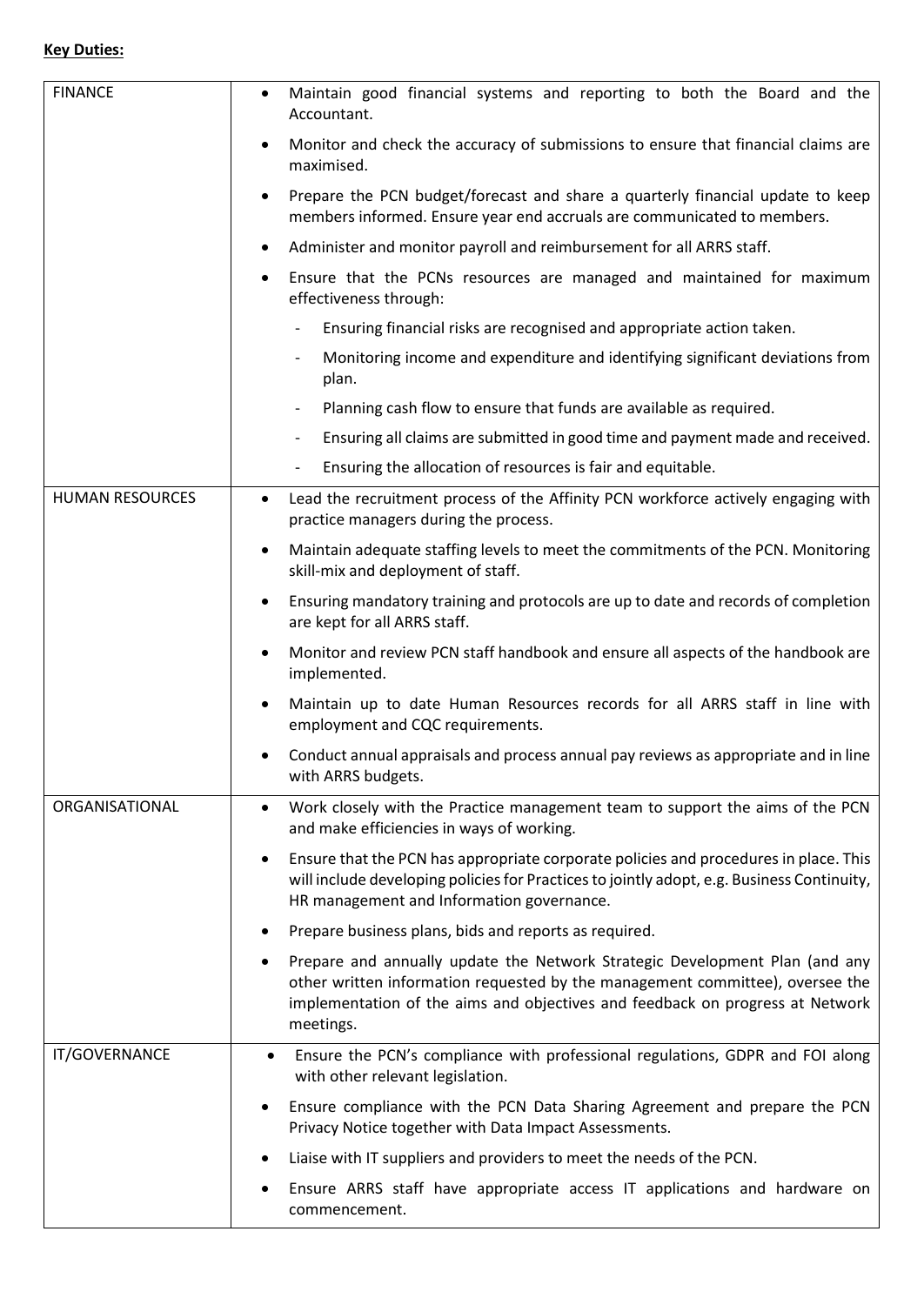## **Key Duties:**

| <b>FINANCE</b>         | Maintain good financial systems and reporting to both the Board and the<br>$\bullet$<br>Accountant.                                                                                                                                                        |
|------------------------|------------------------------------------------------------------------------------------------------------------------------------------------------------------------------------------------------------------------------------------------------------|
|                        | Monitor and check the accuracy of submissions to ensure that financial claims are<br>maximised.                                                                                                                                                            |
|                        | Prepare the PCN budget/forecast and share a quarterly financial update to keep<br>members informed. Ensure year end accruals are communicated to members.                                                                                                  |
|                        | Administer and monitor payroll and reimbursement for all ARRS staff.<br>٠                                                                                                                                                                                  |
|                        | Ensure that the PCNs resources are managed and maintained for maximum<br>٠<br>effectiveness through:                                                                                                                                                       |
|                        | Ensuring financial risks are recognised and appropriate action taken.                                                                                                                                                                                      |
|                        | Monitoring income and expenditure and identifying significant deviations from<br>plan.                                                                                                                                                                     |
|                        | Planning cash flow to ensure that funds are available as required.                                                                                                                                                                                         |
|                        | Ensuring all claims are submitted in good time and payment made and received.                                                                                                                                                                              |
|                        | Ensuring the allocation of resources is fair and equitable.                                                                                                                                                                                                |
| <b>HUMAN RESOURCES</b> | Lead the recruitment process of the Affinity PCN workforce actively engaging with<br>$\bullet$<br>practice managers during the process.                                                                                                                    |
|                        | Maintain adequate staffing levels to meet the commitments of the PCN. Monitoring<br>skill-mix and deployment of staff.                                                                                                                                     |
|                        | Ensuring mandatory training and protocols are up to date and records of completion<br>are kept for all ARRS staff.                                                                                                                                         |
|                        | Monitor and review PCN staff handbook and ensure all aspects of the handbook are<br>implemented.                                                                                                                                                           |
|                        | Maintain up to date Human Resources records for all ARRS staff in line with<br>$\bullet$<br>employment and CQC requirements.                                                                                                                               |
|                        | Conduct annual appraisals and process annual pay reviews as appropriate and in line<br>with ARRS budgets.                                                                                                                                                  |
| ORGANISATIONAL         | Work closely with the Practice management team to support the aims of the PCN<br>and make efficiencies in ways of working.                                                                                                                                 |
|                        | Ensure that the PCN has appropriate corporate policies and procedures in place. This<br>$\bullet$<br>will include developing policies for Practices to jointly adopt, e.g. Business Continuity,<br>HR management and Information governance.               |
|                        | Prepare business plans, bids and reports as required.                                                                                                                                                                                                      |
|                        | Prepare and annually update the Network Strategic Development Plan (and any<br>other written information requested by the management committee), oversee the<br>implementation of the aims and objectives and feedback on progress at Network<br>meetings. |
| IT/GOVERNANCE          | Ensure the PCN's compliance with professional regulations, GDPR and FOI along<br>$\bullet$<br>with other relevant legislation.                                                                                                                             |
|                        | Ensure compliance with the PCN Data Sharing Agreement and prepare the PCN<br>٠<br>Privacy Notice together with Data Impact Assessments.                                                                                                                    |
|                        | Liaise with IT suppliers and providers to meet the needs of the PCN.                                                                                                                                                                                       |
|                        | Ensure ARRS staff have appropriate access IT applications and hardware on<br>commencement.                                                                                                                                                                 |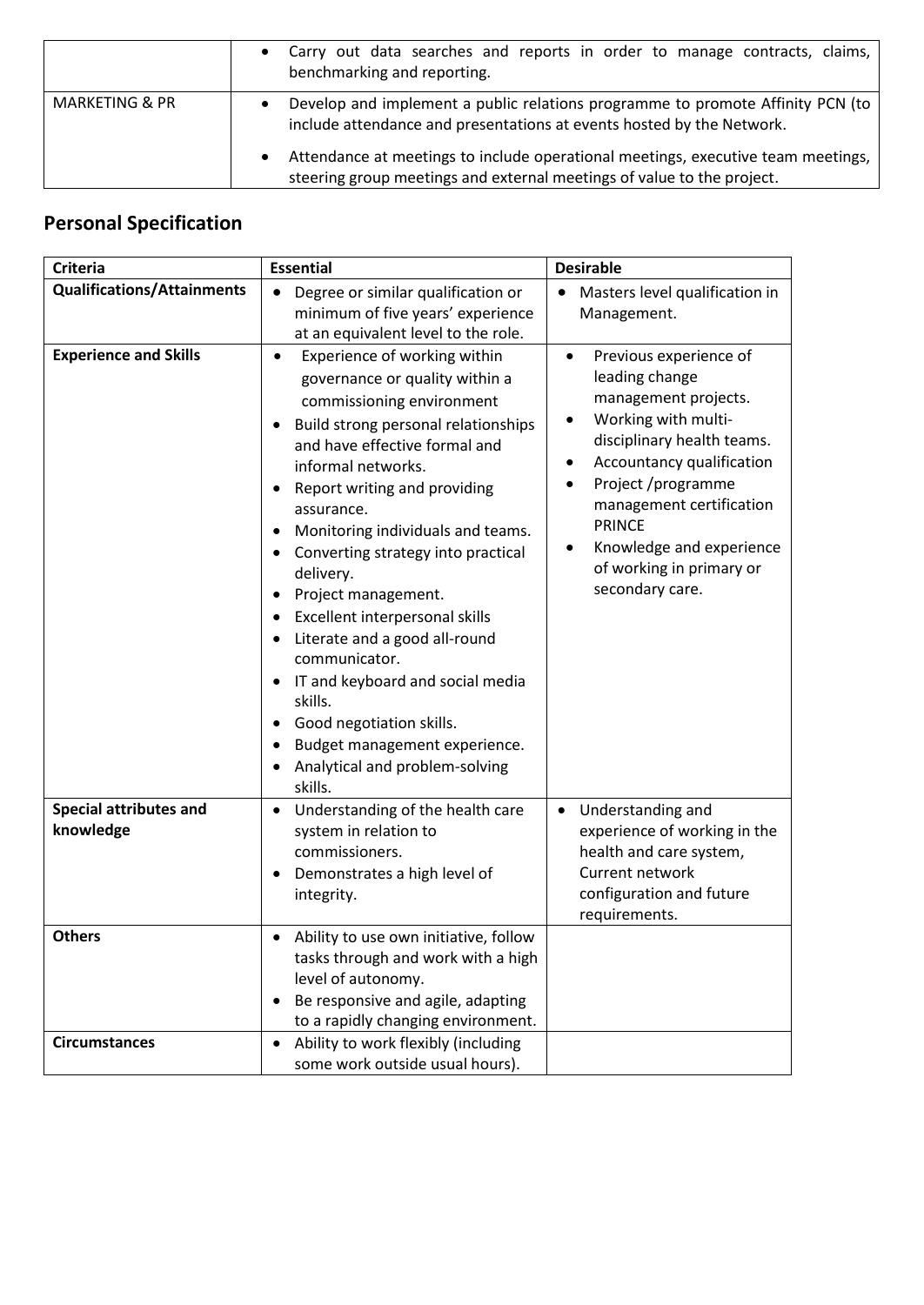|                           | • Carry out data searches and reports in order to manage contracts, claims,<br>benchmarking and reporting.                                                 |  |
|---------------------------|------------------------------------------------------------------------------------------------------------------------------------------------------------|--|
| <b>MARKETING &amp; PR</b> | Develop and implement a public relations programme to promote Affinity PCN (to<br>include attendance and presentations at events hosted by the Network.    |  |
|                           | Attendance at meetings to include operational meetings, executive team meetings,<br>steering group meetings and external meetings of value to the project. |  |

# **Personal Specification**

| <b>Criteria</b>                            | <b>Essential</b>                                                                                                                                                                                                                                                                                                                                                                                                                                                                                                                                                         | <b>Desirable</b>                                                                                                                                                                                                                                                                                                           |
|--------------------------------------------|--------------------------------------------------------------------------------------------------------------------------------------------------------------------------------------------------------------------------------------------------------------------------------------------------------------------------------------------------------------------------------------------------------------------------------------------------------------------------------------------------------------------------------------------------------------------------|----------------------------------------------------------------------------------------------------------------------------------------------------------------------------------------------------------------------------------------------------------------------------------------------------------------------------|
| <b>Qualifications/Attainments</b>          | Degree or similar qualification or                                                                                                                                                                                                                                                                                                                                                                                                                                                                                                                                       | Masters level qualification in                                                                                                                                                                                                                                                                                             |
|                                            | minimum of five years' experience<br>at an equivalent level to the role.                                                                                                                                                                                                                                                                                                                                                                                                                                                                                                 | Management.                                                                                                                                                                                                                                                                                                                |
| <b>Experience and Skills</b>               | Experience of working within<br>$\bullet$                                                                                                                                                                                                                                                                                                                                                                                                                                                                                                                                | Previous experience of<br>$\bullet$                                                                                                                                                                                                                                                                                        |
|                                            | governance or quality within a<br>commissioning environment<br>Build strong personal relationships<br>and have effective formal and<br>informal networks.<br>Report writing and providing<br>assurance.<br>Monitoring individuals and teams.<br>Converting strategy into practical<br>delivery.<br>Project management.<br>٠<br>Excellent interpersonal skills<br>Literate and a good all-round<br>communicator.<br>IT and keyboard and social media<br>skills.<br>Good negotiation skills.<br>Budget management experience.<br>Analytical and problem-solving<br>skills. | leading change<br>management projects.<br>Working with multi-<br>$\bullet$<br>disciplinary health teams.<br>Accountancy qualification<br>$\bullet$<br>Project /programme<br>$\bullet$<br>management certification<br><b>PRINCE</b><br>Knowledge and experience<br>$\bullet$<br>of working in primary or<br>secondary care. |
| <b>Special attributes and</b><br>knowledge | Understanding of the health care<br>$\bullet$<br>system in relation to                                                                                                                                                                                                                                                                                                                                                                                                                                                                                                   | Understanding and<br>$\bullet$<br>experience of working in the                                                                                                                                                                                                                                                             |
|                                            | commissioners.<br>Demonstrates a high level of                                                                                                                                                                                                                                                                                                                                                                                                                                                                                                                           | health and care system,<br>Current network                                                                                                                                                                                                                                                                                 |
|                                            | integrity.                                                                                                                                                                                                                                                                                                                                                                                                                                                                                                                                                               | configuration and future<br>requirements.                                                                                                                                                                                                                                                                                  |
| <b>Others</b>                              | Ability to use own initiative, follow<br>tasks through and work with a high                                                                                                                                                                                                                                                                                                                                                                                                                                                                                              |                                                                                                                                                                                                                                                                                                                            |
|                                            | level of autonomy.<br>Be responsive and agile, adapting                                                                                                                                                                                                                                                                                                                                                                                                                                                                                                                  |                                                                                                                                                                                                                                                                                                                            |
|                                            | to a rapidly changing environment.                                                                                                                                                                                                                                                                                                                                                                                                                                                                                                                                       |                                                                                                                                                                                                                                                                                                                            |
| <b>Circumstances</b>                       | Ability to work flexibly (including<br>$\bullet$<br>some work outside usual hours).                                                                                                                                                                                                                                                                                                                                                                                                                                                                                      |                                                                                                                                                                                                                                                                                                                            |